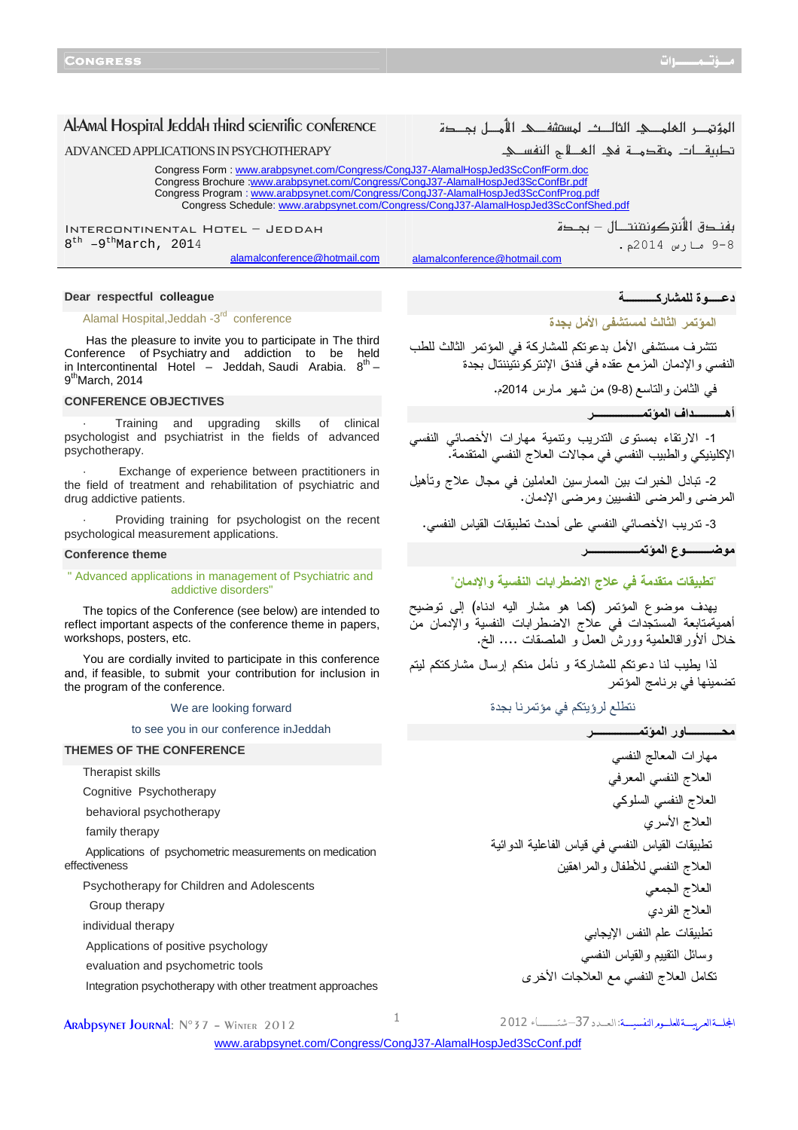ADVANCED APPLICATIONS IN PSYCHOTHERAPY

Congress Form [: www.arabpsynet.com/Congress/CongJ37-AlamalHospJed3ScConfForm.doc](www.arabpsynet.com/Congress/CongJ37-AlamalHospJed3ScConfForm.doc) Congress Brochure [:www.arabpsynet.com/Congress/CongJ37-AlamalHospJed3ScConfBr.pdf](www.arabpsynet.com/Congress/CongJ37-AlamalHospJed3ScConfBr.pdf) Congress Program : www.arabpsynet.com/Congress/CongJ37-AlamalHospJed3ScConfProg.pdf Congress Schedule[: www.arabpsynet.com/Congress/CongJ37-AlamalHospJed3ScConfShed.pdf](www.arabpsynet.com/Congress/CongJ37-AlamalHospJed3ScConfShed.pdf)

alamalconference@hotmail.com

Intercontinental Hotel – Jeddah 8<sup>th</sup> -9<sup>th</sup>March, 2014

alamalconference@hotmail.com

## **Dear respectful colleague**

#### Alamal Hospital, Jeddah -3<sup>rd</sup> conference

 Has the pleasure to invite you to participate in The third Conference of Psychiatry and addiction to be held in Intercontinental Hotel - Jeddah, Saudi Arabia.  $8^{th}$  -9<sup>th</sup>March, 2014

## **CONFERENCE OBJECTIVES**

Training and upgrading skills of clinical psychologist and psychiatrist in the fields of advanced psychotherapy.

Exchange of experience between practitioners in the field of treatment and rehabilitation of psychiatric and drug addictive patients.

Providing training for psychologist on the recent psychological measurement applications.

#### **Conference theme**

#### " Advanced applications in management of Psychiatric and addictive disorders"

The topics of the Conference (see below) are intended to reflect important aspects of the conference theme in papers, workshops, posters, etc.

You are cordially invited to participate in this conference and, if feasible, to submit your contribution for inclusion in the program of the conference.

#### We are looking forward

to see you in our conference inJeddah

## **THEMES OF THE CONFERENCE**

Therapist skills

#### Cognitive Psychotherapy

behavioral psychotherapy

family therapy

 Applications of psychometric measurements on medication effectiveness

Psychotherapy for Children and Adolescents

Group therapy

individual therapy

Applications of positive psychology

evaluation and psychometric tools

Integration psychotherapy with other treatment approaches

النفسي والإدمان المزمع عقده في فندق الإنتركونتيننتال بجدة

تتشرف مستشفى الأمل بدعوتكم للمشاركة في المؤتمر الثالث للطب

المؤتمر الفلمك الثالث لمستشفك الأمط بمصدة

تطبيقات متقدمـــة في المــــلاح النفســي.

بفندق الأنتركونتنتــال – بجـدة

المؤتمر الثالث لمستشفى الأمل بجدة

9-8 رس 2014م.

دـــــ
ة رآـــــــــــ

في الثامن والتاسع )8-9( من شهر مارس 2014م .

أهـــــــــــاف ا ـــــــــــــــــ

1- الارتقاء بمستوى التدريب وتنمية مهارات الأخصائي النفسي الإكلينيكي والطبيب النفسي في مجالات العلاج النفسي المتقدمة.

2- تبادل الخبرات بين الممارسين العاملين في مجال علاج وتأهيل المرضى والمرضى النفسيين ومرضى الإدمان.

3- تدريب الأخصائي النفسي على أحدث تطبيقات القياس النفسي.

## ـــــــــ
ع ا ــــــــــــــــــ

# "تطبيقات متقدمة في علاج الاضطرابات النفسية والإدمان"

يهدف موضوع المؤتمر (كما هو مشار اليه ادناه) إلى توضيح أهميةمتابعة المستجدات في علاج الاضطرابات النفسية والإدمان من خلال ألأوراقالعلمية وورش العمل و الملصقات .... الخ .

لذا يطيب لنا دعوتكم للمشاركة و نأمل منكم إرسال مشاركتكم ليتم تضمينها في برنامج المؤتمر

نتطلع لرؤيتكم في مؤتمرنا بجدة

ــــــــــــور ا ــــــــــــــــ

مهارات المعالج النفسي العلاج النفسي المعرفي العلاج النفسي السلوكي العلاج الأسري تطبيقات القياس النفسي في قياس الفاعلية الدوائية العلاج النفسي للأطفال والمراهقين العلاج الجمعي العلاج الفردي تطبيقات علم النفس الإيجابي وسائل التقييم والقياس النفسي

تكامل العلاج النفسي مع العلاجات الأخرى

**ARADDSVNET JOURNAL:**  $N^{\circ}37 - W1$  inter 2012

الجلة العربية للعليوم النفسيسة: العيدد 37-شتـــــاء 2012